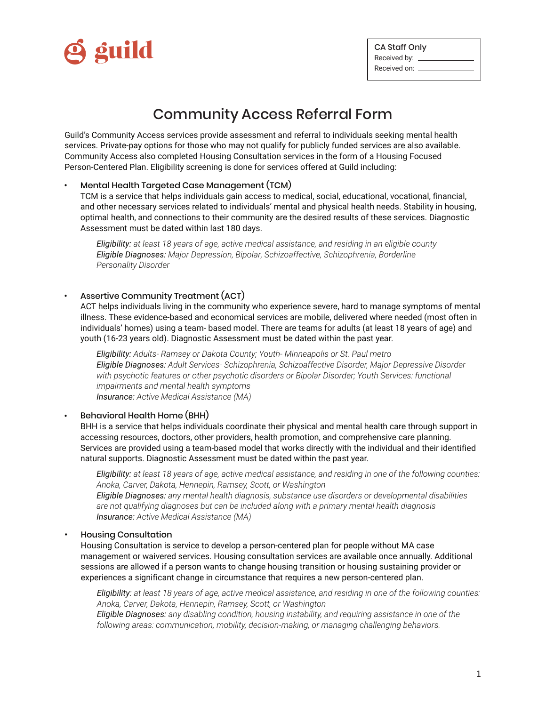

| CA Staff Only    |  |  |  |  |  |  |  |  |
|------------------|--|--|--|--|--|--|--|--|
| Received by:  __ |  |  |  |  |  |  |  |  |
| Received on:     |  |  |  |  |  |  |  |  |

# Community Access Referral Form

Guild's Community Access services provide assessment and referral to individuals seeking mental health services. Private-pay options for those who may not qualify for publicly funded services are also available. Community Access also completed Housing Consultation services in the form of a Housing Focused Person-Centered Plan. Eligibility screening is done for services offered at Guild including:

### Mental Health Targeted Case Management (TCM) **•**

TCM is a service that helps individuals gain access to medical, social, educational, vocational, financial, and other necessary services related to individuals' mental and physical health needs. Stability in housing, optimal health, and connections to their community are the desired results of these services. Diagnostic Assessment must be dated within last 180 days.

*Eligibility: at least 18 years of age, active medical assistance, and residing in an eligible county Eligible Diagnoses: Major Depression, Bipolar, Schizoaffective, Schizophrenia, Borderline Personality Disorder*

### Assertive Community Treatment (ACT) **•**

ACT helps individuals living in the community who experience severe, hard to manage symptoms of mental illness. These evidence-based and economical services are mobile, delivered where needed (most often in individuals' homes) using a team- based model. There are teams for adults (at least 18 years of age) and youth (16-23 years old). Diagnostic Assessment must be dated within the past year.

*Eligibility: Adults- Ramsey or Dakota County; Youth- Minneapolis or St. Paul metro Eligible Diagnoses: Adult Services- Schizophrenia, Schizoaffective Disorder, Major Depressive Disorder with psychotic features or other psychotic disorders or Bipolar Disorder; Youth Services: functional impairments and mental health symptoms Insurance: Active Medical Assistance (MA)*

#### Behavioral Health Home (BHH) **•**

BHH is a service that helps individuals coordinate their physical and mental health care through support in accessing resources, doctors, other providers, health promotion, and comprehensive care planning. Services are provided using a team-based model that works directly with the individual and their identified natural supports. Diagnostic Assessment must be dated within the past year.

*Eligibility: at least 18 years of age, active medical assistance, and residing in one of the following counties: Anoka, Carver, Dakota, Hennepin, Ramsey, Scott, or Washington*

*Eligible Diagnoses: any mental health diagnosis, substance use disorders or developmental disabilities are not qualifying diagnoses but can be included along with a primary mental health diagnosis Insurance: Active Medical Assistance (MA)*

#### Housing Consultation **•**

Housing Consultation is service to develop a person-centered plan for people without MA case management or waivered services. Housing consultation services are available once annually. Additional sessions are allowed if a person wants to change housing transition or housing sustaining provider or experiences a significant change in circumstance that requires a new person-centered plan.

*Eligibility: at least 18 years of age, active medical assistance, and residing in one of the following counties: Anoka, Carver, Dakota, Hennepin, Ramsey, Scott, or Washington*

*Eligible Diagnoses: any disabling condition, housing instability, and requiring assistance in one of the following areas: communication, mobility, decision-making, or managing challenging behaviors.*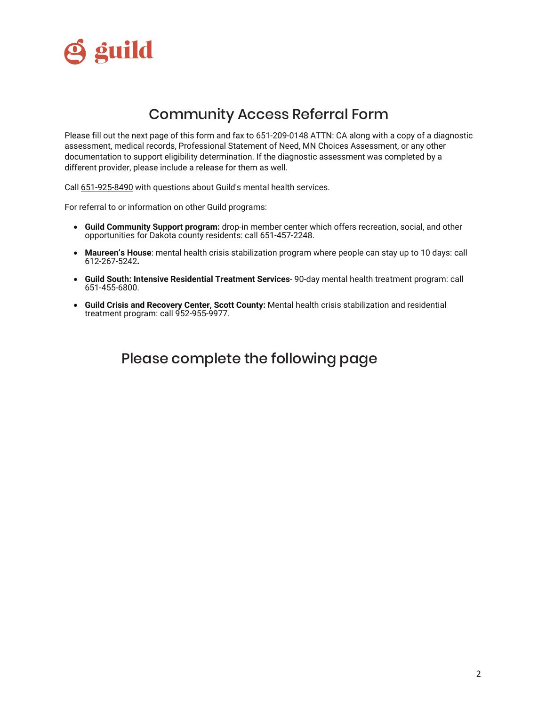

## Community Access Referral Form

Please fill out the next page of this form and fax to 651-209-0148 ATTN: CA along with a copy of a diagnostic assessment, medical records, Professional Statement of Need, MN Choices Assessment, or any other documentation to support eligibility determination. If the diagnostic assessment was completed by a different provider, please include a release for them as well.

Call 651-925-8490 with questions about Guild's mental health services.

For referral to or information on other Guild programs:

- **Guild Community Support program:** drop-in member center which offers recreation, social, and other opportunities for Dakota county residents: call 651-457-2248.
- **Maureen's House**: mental health crisis stabilization program where people can stay up to 10 days: call 612-267-5242**.**
- **Guild South: Intensive Residential Treatment Services** 90-day mental health treatment program: call 651-455-6800.
- **Guild Crisis and Recovery Center, Scott County:** Mental health crisis stabilization and residential treatment program: call 952-955-9977.

Please complete the following page